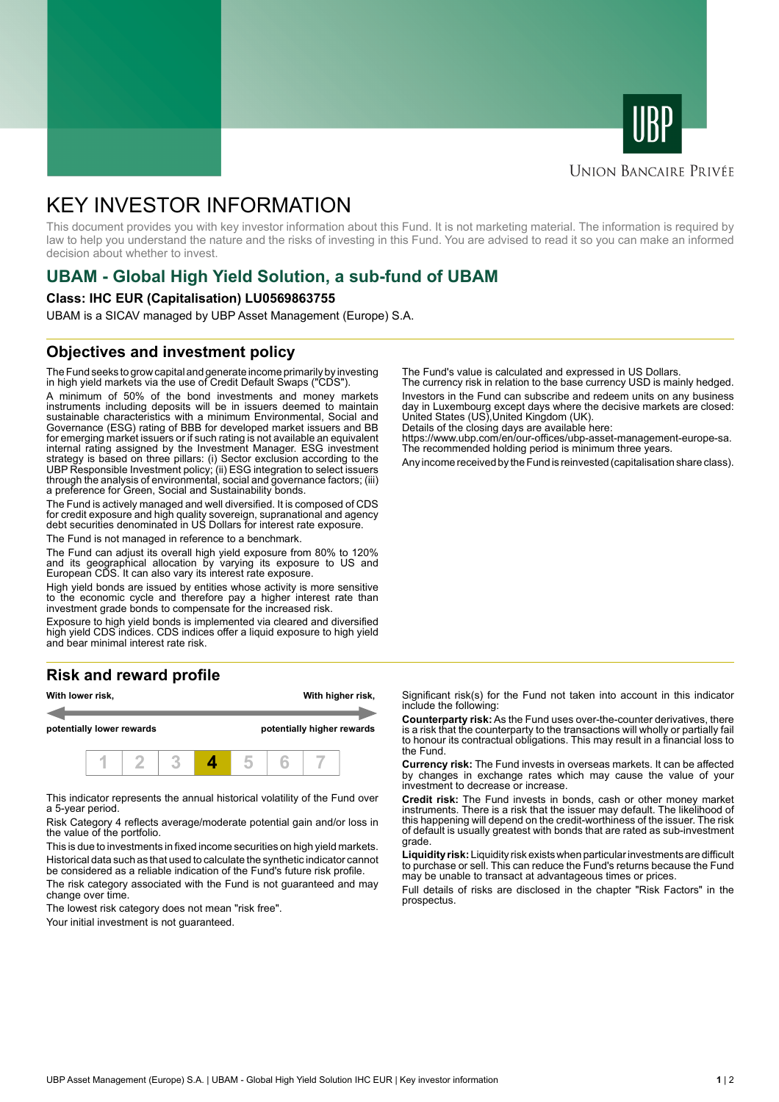



### **UNION BANCAIRE PRIVÉE**

# KEY INVESTOR INFORMATION

This document provides you with key investor information about this Fund. It is not marketing material. The information is required by law to help you understand the nature and the risks of investing in this Fund. You are advised to read it so you can make an informed decision about whether to invest.

# **UBAM - Global High Yield Solution, a sub-fund of UBAM**

#### **Class: IHC EUR (Capitalisation) LU0569863755**

UBAM is a SICAV managed by UBP Asset Management (Europe) S.A.

## **Objectives and investment policy**

The Fund seeks to grow capital and generate income primarily by investing in high yield markets via the use of Credit Default Swaps ("CDS").

A minimum of 50% of the bond investments and money markets instruments including deposits will be in issuers deemed to maintain sustainable characteristics with a minimum Environmental, Social and Governance (ESG) rating of BBB for developed market issuers and BB for emerging market issuers or if such rating is not available an equivalent internal rating assigned by the Investment Manager. ESG investment strategy is based on three pillars: (i) Sector exclusion according to the UBP Responsible Investment policy; (ii) ESG integration to select issuers through the analysis of environmental, social and governance factors; (iii) a preference for Green, Social and Sustainability bonds.

The Fund is actively managed and well diversified. It is composed of CDS for credit exposure and high quality sovereign, supranational and agency debt securities denominated in US Dollars for interest rate exposure.

The Fund is not managed in reference to a benchmark.

The Fund can adjust its overall high yield exposure from 80% to 120% and its geographical allocation by varying its exposure to US and European CDS. It can also vary its interest rate exposure.

High yield bonds are issued by entities whose activity is more sensitive to the economic cycle and therefore pay a higher interest rate than investment grade bonds to compensate for the increased risk.

Exposure to high yield bonds is implemented via cleared and diversified high yield CDS indices. CDS indices offer a liquid exposure to high yield and bear minimal interest rate risk.

# **Risk and reward profile**



This indicator represents the annual historical volatility of the Fund over a 5-year period.

Risk Category 4 reflects average/moderate potential gain and/or loss in the value of the portfolio.

This is due to investments in fixed income securities on high yield markets. Historical data such as that used to calculate the synthetic indicator cannot be considered as a reliable indication of the Fund's future risk profile. The risk category associated with the Fund is not guaranteed and may

change over time.

The lowest risk category does not mean "risk free".

Your initial investment is not guaranteed.

The Fund's value is calculated and expressed in US Dollars.

The currency risk in relation to the base currency USD is mainly hedged. Investors in the Fund can subscribe and redeem units on any business day in Luxembourg except days where the decisive markets are closed: United States (US),United Kingdom (UK).

Details of the closing days are available here:

https://www.ubp.com/en/our-offices/ubp-asset-management-europe-sa. The recommended holding period is minimum three years.

Any income received by the Fund is reinvested (capitalisation share class).

Significant risk(s) for the Fund not taken into account in this indicator include the following:

**Counterparty risk:** As the Fund uses over-the-counter derivatives, there is a risk that the counterparty to the transactions will wholly or partially fail to honour its contractual obligations. This may result in a financial loss to the Fund.

**Currency risk:** The Fund invests in overseas markets. It can be affected by changes in exchange rates which may cause the value of your investment to decrease or increase.

**Credit risk:** The Fund invests in bonds, cash or other money market instruments. There is a risk that the issuer may default. The likelihood of this happening will depend on the credit-worthiness of the issuer. The risk of default is usually greatest with bonds that are rated as sub-investment grade.

**Liquidity risk:** Liquidity risk exists when particular investments are difficult to purchase or sell. This can reduce the Fund's returns because the Fund may be unable to transact at advantageous times or prices.

Full details of risks are disclosed in the chapter "Risk Factors" in the prospectus.